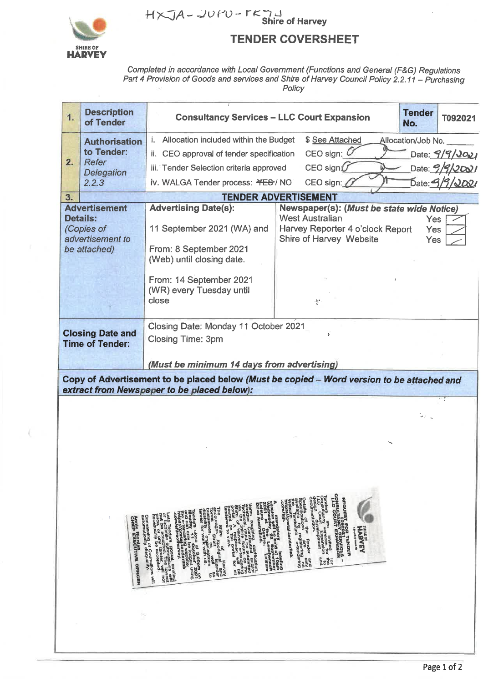

## $H \times J$ A – JUPU –  $T \times J$ J<br>Shire of Harvey

### **TENDER COVERSHEET**

Completed in accordance with Local Government (Functions and General (F&G) Regulations<br>Part 4 Provision of Goods and services and Shire of Harvey Council Policy 2.2.11 – Purchasing Policy

| 1.                                                                                                                                                                                                                                                                                                                                                                                                                                                                                                                                                                                                                                                                                                                                                                                                                                                                                                                                                                                                                                                                                                                                                                                                                                                                                                                                                                  | <b>Description</b><br>of Tender | <b>Consultancy Services - LLC Court Expansion</b>                                                                | <b>Tender</b><br>T092021<br>No.                                                                                                    |                                                                         |  |  |  |  |
|---------------------------------------------------------------------------------------------------------------------------------------------------------------------------------------------------------------------------------------------------------------------------------------------------------------------------------------------------------------------------------------------------------------------------------------------------------------------------------------------------------------------------------------------------------------------------------------------------------------------------------------------------------------------------------------------------------------------------------------------------------------------------------------------------------------------------------------------------------------------------------------------------------------------------------------------------------------------------------------------------------------------------------------------------------------------------------------------------------------------------------------------------------------------------------------------------------------------------------------------------------------------------------------------------------------------------------------------------------------------|---------------------------------|------------------------------------------------------------------------------------------------------------------|------------------------------------------------------------------------------------------------------------------------------------|-------------------------------------------------------------------------|--|--|--|--|
| 2.                                                                                                                                                                                                                                                                                                                                                                                                                                                                                                                                                                                                                                                                                                                                                                                                                                                                                                                                                                                                                                                                                                                                                                                                                                                                                                                                                                  | <b>Authorisation</b>            | Allocation included within the Budget<br>i.                                                                      | \$ See Attached                                                                                                                    | Allocation/Job No.                                                      |  |  |  |  |
|                                                                                                                                                                                                                                                                                                                                                                                                                                                                                                                                                                                                                                                                                                                                                                                                                                                                                                                                                                                                                                                                                                                                                                                                                                                                                                                                                                     | to Tender:<br>Refer             | ii. CEO approval of tender specification                                                                         | CEO sign: $O$                                                                                                                      | Date: 9/9/2021                                                          |  |  |  |  |
|                                                                                                                                                                                                                                                                                                                                                                                                                                                                                                                                                                                                                                                                                                                                                                                                                                                                                                                                                                                                                                                                                                                                                                                                                                                                                                                                                                     | <b>Delegation</b>               | iii. Tender Selection criteria approved                                                                          | CEO sign $U$<br>CEO sign:                                                                                                          | Date: 9/9/2001                                                          |  |  |  |  |
|                                                                                                                                                                                                                                                                                                                                                                                                                                                                                                                                                                                                                                                                                                                                                                                                                                                                                                                                                                                                                                                                                                                                                                                                                                                                                                                                                                     | 2.2.3                           | <b>TENDER ADVERTISEMENT</b>                                                                                      | Date: 3                                                                                                                            |                                                                         |  |  |  |  |
| 3.                                                                                                                                                                                                                                                                                                                                                                                                                                                                                                                                                                                                                                                                                                                                                                                                                                                                                                                                                                                                                                                                                                                                                                                                                                                                                                                                                                  | <b>Advertisement</b>            |                                                                                                                  |                                                                                                                                    |                                                                         |  |  |  |  |
| <b>Details:</b><br>(Copies of<br>advertisement to<br>be attached)                                                                                                                                                                                                                                                                                                                                                                                                                                                                                                                                                                                                                                                                                                                                                                                                                                                                                                                                                                                                                                                                                                                                                                                                                                                                                                   |                                 | <b>Advertising Date(s):</b><br>11 September 2021 (WA) and<br>From: 8 September 2021<br>(Web) until closing date. | Newspaper(s): (Must be state wide Notice)<br><b>West Australian</b><br>Harvey Reporter 4 o'clock Report<br>Shire of Harvey Website | Yes<br><b>Yes</b><br>Yes                                                |  |  |  |  |
|                                                                                                                                                                                                                                                                                                                                                                                                                                                                                                                                                                                                                                                                                                                                                                                                                                                                                                                                                                                                                                                                                                                                                                                                                                                                                                                                                                     |                                 | From: 14 September 2021<br>(WR) every Tuesday until<br>close                                                     | 零                                                                                                                                  |                                                                         |  |  |  |  |
| <b>Closing Date and</b><br><b>Time of Tender:</b>                                                                                                                                                                                                                                                                                                                                                                                                                                                                                                                                                                                                                                                                                                                                                                                                                                                                                                                                                                                                                                                                                                                                                                                                                                                                                                                   |                                 | Closing Date: Monday 11 October 2021<br><b>Closing Time: 3pm</b>                                                 | ł.                                                                                                                                 |                                                                         |  |  |  |  |
|                                                                                                                                                                                                                                                                                                                                                                                                                                                                                                                                                                                                                                                                                                                                                                                                                                                                                                                                                                                                                                                                                                                                                                                                                                                                                                                                                                     |                                 | (Must be minimum 14 days from advertising)                                                                       |                                                                                                                                    |                                                                         |  |  |  |  |
|                                                                                                                                                                                                                                                                                                                                                                                                                                                                                                                                                                                                                                                                                                                                                                                                                                                                                                                                                                                                                                                                                                                                                                                                                                                                                                                                                                     |                                 | Copy of Advertisement to be placed below (Must be copied - Word version to be attached and                       |                                                                                                                                    |                                                                         |  |  |  |  |
|                                                                                                                                                                                                                                                                                                                                                                                                                                                                                                                                                                                                                                                                                                                                                                                                                                                                                                                                                                                                                                                                                                                                                                                                                                                                                                                                                                     |                                 | extract from Newspaper to be placed below):                                                                      |                                                                                                                                    |                                                                         |  |  |  |  |
|                                                                                                                                                                                                                                                                                                                                                                                                                                                                                                                                                                                                                                                                                                                                                                                                                                                                                                                                                                                                                                                                                                                                                                                                                                                                                                                                                                     |                                 |                                                                                                                  |                                                                                                                                    | $\frac{1}{2} \sum_{\mathbf{q} \in \mathcal{Q}} \mathbf{q}_{\mathbf{q}}$ |  |  |  |  |
|                                                                                                                                                                                                                                                                                                                                                                                                                                                                                                                                                                                                                                                                                                                                                                                                                                                                                                                                                                                                                                                                                                                                                                                                                                                                                                                                                                     |                                 |                                                                                                                  |                                                                                                                                    |                                                                         |  |  |  |  |
|                                                                                                                                                                                                                                                                                                                                                                                                                                                                                                                                                                                                                                                                                                                                                                                                                                                                                                                                                                                                                                                                                                                                                                                                                                                                                                                                                                     |                                 |                                                                                                                  |                                                                                                                                    |                                                                         |  |  |  |  |
|                                                                                                                                                                                                                                                                                                                                                                                                                                                                                                                                                                                                                                                                                                                                                                                                                                                                                                                                                                                                                                                                                                                                                                                                                                                                                                                                                                     |                                 |                                                                                                                  |                                                                                                                                    |                                                                         |  |  |  |  |
|                                                                                                                                                                                                                                                                                                                                                                                                                                                                                                                                                                                                                                                                                                                                                                                                                                                                                                                                                                                                                                                                                                                                                                                                                                                                                                                                                                     |                                 |                                                                                                                  |                                                                                                                                    |                                                                         |  |  |  |  |
| request for tender<br>Consultancy services<br>Consultancy seansion<br>LLC Court expansion<br>Tenders are invited the<br>Consultancy Expension to<br>Consultancy Expension to<br>LCC Cour velopment<br>documentation<br>https://portal.tenderlink<br>.com/19P<br>A mandator/hold ar/ddimension<br>washington 22 Sophomics<br>2021 - The Lessington<br>2021 - The Lessington<br>Drive Australing.<br>Drive Australing.<br>rems requiring clarification<br>with the monomed clarification<br>of the monomed clarification of the spin time<br>of the dipline to example in<br>ports of the spons of the silf<br>ports of the section of the silf<br>indicates to view.<br>The Shire $\Delta$ pofin Hangd encourage Strait.<br>Fince and Strait. Well and the strait of the strait of the strait of the strait of the strait of the strain st<br>the strait of the strait of the strain of the strain of the strain<br>Tenders elose at a aopraga<br>Mondan only be looged using<br>the semidant only be looged using<br>the semidant website<br>como shireoffrarvey.<br>Late Tenders, postal, emailed<br>or facsimile play. The lowest<br>not be acceptender, will not<br>necessarily be accepted.<br>Canvassing of Councillors will<br>canvassing of Councility.<br>Annie Rordan<br>CHIEF EXECUTIVE OFFICER<br>SHIRE OF<br>HARVEY<br>ych of Erwah Air<br>$\mathbf{I}$ |                                 |                                                                                                                  |                                                                                                                                    |                                                                         |  |  |  |  |

Page 1 of 2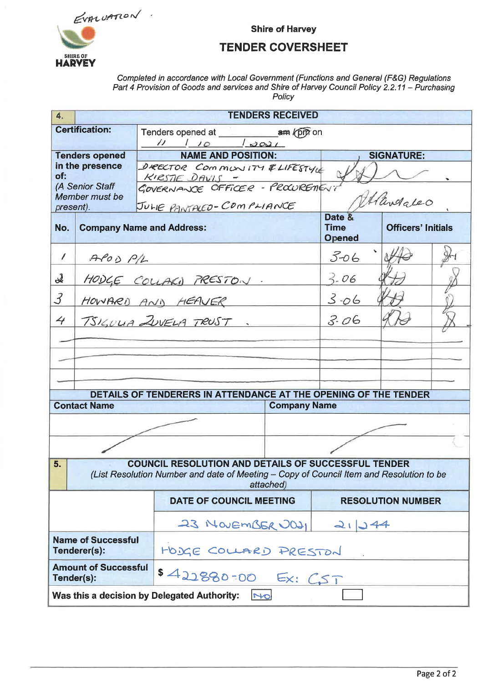EVALUATION.



**Shire of Harvey** 

### **TENDER COVERSHEET**

# Completed in accordance with Local Government (Functions and General (F&G) Regulations<br>Part 4 Provision of Goods and services and Shire of Harvey Council Policy 2.2.11 – Purchasing<br>Policy

| 4.                                                                                                                                                                       |                                           |                                                                 | <b>TENDERS RECEIVED</b>                                     |          |                           |  |  |  |  |
|--------------------------------------------------------------------------------------------------------------------------------------------------------------------------|-------------------------------------------|-----------------------------------------------------------------|-------------------------------------------------------------|----------|---------------------------|--|--|--|--|
|                                                                                                                                                                          | <b>Certification:</b>                     |                                                                 |                                                             |          |                           |  |  |  |  |
|                                                                                                                                                                          |                                           |                                                                 | $1110$ $3021$                                               |          |                           |  |  |  |  |
| <b>Tenders opened</b><br>in the presence<br>of:                                                                                                                          |                                           |                                                                 | <b>NAME AND POSITION:</b><br>DIRECTOR COMMUNITY & LIFESTYLE |          | <b>SIGNATURE:</b>         |  |  |  |  |
|                                                                                                                                                                          |                                           | KIRSTIE DAVIS -                                                 |                                                             |          |                           |  |  |  |  |
| (A Senior Staff<br>Member must be                                                                                                                                        |                                           |                                                                 | KIRSTIE DAVIS -<br>GOVERNANCE OFFICER - PROWREMENT          |          |                           |  |  |  |  |
| present).                                                                                                                                                                |                                           |                                                                 | JULIE PANTALED-COMPLIANCE                                   |          | Alandaleo<br>Date &       |  |  |  |  |
| No.                                                                                                                                                                      |                                           | <b>Company Name and Address:</b>                                |                                                             |          | <b>Officers' Initials</b> |  |  |  |  |
| $\sqrt{2}$                                                                                                                                                               | $A \rho$ OD $P/L$                         |                                                                 |                                                             | $3 - 06$ |                           |  |  |  |  |
| $\boldsymbol{\lambda}$                                                                                                                                                   | HODGE COUPKI PRESTON.                     |                                                                 |                                                             | $3 - 06$ |                           |  |  |  |  |
| $\mathcal{J}_{\mathcal{S}}$                                                                                                                                              |                                           | HOWARD AND HEAVER                                               |                                                             | $3 - 06$ |                           |  |  |  |  |
| 4                                                                                                                                                                        |                                           | TSIGULIA ZUVELA TRUST.                                          |                                                             | 3.06     |                           |  |  |  |  |
|                                                                                                                                                                          |                                           |                                                                 |                                                             |          |                           |  |  |  |  |
|                                                                                                                                                                          |                                           |                                                                 |                                                             |          |                           |  |  |  |  |
|                                                                                                                                                                          |                                           |                                                                 |                                                             |          |                           |  |  |  |  |
|                                                                                                                                                                          |                                           | DETAILS OF TENDERERS IN ATTENDANCE AT THE OPENING OF THE TENDER |                                                             |          |                           |  |  |  |  |
|                                                                                                                                                                          | <b>Contact Name</b>                       |                                                                 | <b>Company Name</b>                                         |          |                           |  |  |  |  |
|                                                                                                                                                                          |                                           |                                                                 |                                                             |          |                           |  |  |  |  |
|                                                                                                                                                                          |                                           |                                                                 |                                                             |          |                           |  |  |  |  |
| <b>COUNCIL RESOLUTION AND DETAILS OF SUCCESSFUL TENDER</b><br>5.<br>(List Resolution Number and date of Meeting - Copy of Council Item and Resolution to be<br>attached) |                                           |                                                                 |                                                             |          |                           |  |  |  |  |
|                                                                                                                                                                          |                                           |                                                                 | <b>DATE OF COUNCIL MEETING</b>                              |          | <b>RESOLUTION NUMBER</b>  |  |  |  |  |
|                                                                                                                                                                          |                                           |                                                                 | 23 NOVEMBER 2021 21244                                      |          |                           |  |  |  |  |
|                                                                                                                                                                          | <b>Name of Successful</b><br>Tenderer(s): |                                                                 | HODGE COLLARD PRESTON                                       |          |                           |  |  |  |  |
| <b>Amount of Successful</b><br>\$422880-00 Ex: CST<br>Tender(s):                                                                                                         |                                           |                                                                 |                                                             |          |                           |  |  |  |  |
| Was this a decision by Delegated Authority:<br>NO                                                                                                                        |                                           |                                                                 |                                                             |          |                           |  |  |  |  |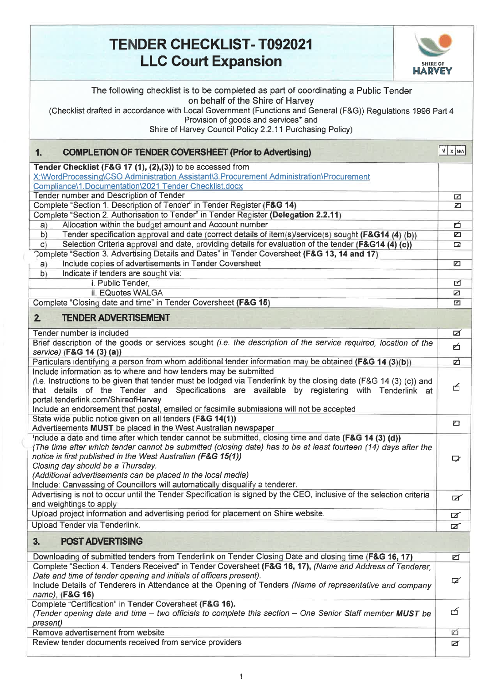### **TENDER CHECKLIST- T092021 LLC Court Expansion**



| The following checklist is to be completed as part of coordinating a Public Tender<br>on behalf of the Shire of Harvey<br>(Checklist drafted in accordance with Local Government (Functions and General (F&G)) Regulations 1996 Part 4<br>Provision of goods and services* and<br>Shire of Harvey Council Policy 2.2.11 Purchasing Policy)                                                     |                  |
|------------------------------------------------------------------------------------------------------------------------------------------------------------------------------------------------------------------------------------------------------------------------------------------------------------------------------------------------------------------------------------------------|------------------|
| 1.<br><b>COMPLETION OF TENDER COVERSHEET (Prior to Advertising)</b>                                                                                                                                                                                                                                                                                                                            | $\sqrt{X}$ $N/A$ |
| Tender Checklist (F&G 17 (1), (2),(3)) to be accessed from                                                                                                                                                                                                                                                                                                                                     |                  |
| X:\\WordProcessing\CSO Administration Assistant\3.Procurement Administration\Procurement                                                                                                                                                                                                                                                                                                       |                  |
| Compliance\1.Documentation\2021 Tender Checklist.docx<br>Tender number and Description of Tender                                                                                                                                                                                                                                                                                               |                  |
| Complete "Section 1. Description of Tender" in Tender Register (F&G 14)                                                                                                                                                                                                                                                                                                                        | ☑<br>Ø           |
| Complete "Section 2. Authorisation to Tender" in Tender Register (Delegation 2.2.11)                                                                                                                                                                                                                                                                                                           |                  |
| Allocation within the budget amount and Account number<br>a)                                                                                                                                                                                                                                                                                                                                   | б                |
| Tender specification approval and date (correct details of item(s)/service(s) sought (F&G14 (4) (b))<br>b)                                                                                                                                                                                                                                                                                     | ▱                |
| Selection Criteria approval and date, providing details for evaluation of the tender (F&G14 (4) (c))<br>$\mathsf{C}$<br>Complete "Section 3. Advertising Details and Dates" in Tender Coversheet (F&G 13, 14 and 17)                                                                                                                                                                           | □                |
| Include copies of advertisements in Tender Coversheet<br>a)                                                                                                                                                                                                                                                                                                                                    | $\Box$           |
| Indicate if tenders are sought via:<br>b)                                                                                                                                                                                                                                                                                                                                                      |                  |
| i. Public Tender,                                                                                                                                                                                                                                                                                                                                                                              | ⊡                |
| ii. EQuotes WALGA                                                                                                                                                                                                                                                                                                                                                                              | Z                |
| Complete "Closing date and time" in Tender Coversheet (F&G 15)                                                                                                                                                                                                                                                                                                                                 | ◘                |
| <b>TENDER ADVERTISEMENT</b><br>2 <sub>1</sub>                                                                                                                                                                                                                                                                                                                                                  |                  |
| Tender number is included                                                                                                                                                                                                                                                                                                                                                                      | ☑                |
| Brief description of the goods or services sought (i.e. the description of the service required, location of the                                                                                                                                                                                                                                                                               | 凸                |
| service) (F&G 14 (3) (a))<br>Particulars identifying a person from whom additional tender information may be obtained (F&G 14 (3)(b))                                                                                                                                                                                                                                                          | 户                |
| Include information as to where and how tenders may be submitted                                                                                                                                                                                                                                                                                                                               |                  |
| (i.e. Instructions to be given that tender must be lodged via Tenderlink by the closing date (F&G 14 (3) (c)) and                                                                                                                                                                                                                                                                              |                  |
| that details of the Tender and Specifications are available by registering with Tenderlink at                                                                                                                                                                                                                                                                                                  | 子                |
| portal.tenderlink.com/ShireofHarvey<br>Include an endorsement that postal, emailed or facsimile submissions will not be accepted                                                                                                                                                                                                                                                               |                  |
| State wide public notice given on all tenders (F&G 14(1))                                                                                                                                                                                                                                                                                                                                      |                  |
| Advertisements MUST be placed in the West Australian newspaper                                                                                                                                                                                                                                                                                                                                 | ▱                |
| Include a date and time after which tender cannot be submitted, closing time and date (F&G 14 (3) (d))<br>(The time after which tender cannot be submitted (closing date) has to be at least fourteen (14) days after the<br>notice is first published in the West Australian (F&G 15(1))<br>Closing day should be a Thursday.<br>(Additional advertisements can be placed in the local media) | ⋤                |
| Include: Canvassing of Councillors will automatically disqualify a tenderer.                                                                                                                                                                                                                                                                                                                   |                  |
| Advertising is not to occur until the Tender Specification is signed by the CEO, inclusive of the selection criteria<br>and weightings to apply                                                                                                                                                                                                                                                | $\mathbb{Z}^2$   |
| Upload project information and advertising period for placement on Shire website.                                                                                                                                                                                                                                                                                                              | ☑                |
| Upload Tender via Tenderlink.                                                                                                                                                                                                                                                                                                                                                                  | ☑                |
| <b>POST ADVERTISING</b><br>3.                                                                                                                                                                                                                                                                                                                                                                  |                  |
| Downloading of submitted tenders from Tenderlink on Tender Closing Date and closing time (F&G 16, 17)                                                                                                                                                                                                                                                                                          | ☑                |
| Complete "Section 4. Tenders Received" in Tender Coversheet (F&G 16, 17), (Name and Address of Tenderer,                                                                                                                                                                                                                                                                                       |                  |
| Date and time of tender opening and initials of officers present).<br>Include Details of Tenderers in Attendance at the Opening of Tenders (Name of representative and company                                                                                                                                                                                                                 | $\triangledown$  |
| name), (F&G 16)<br>Complete "Certification" in Tender Coversheet (F&G 16).                                                                                                                                                                                                                                                                                                                     |                  |
| (Tender opening date and time - two officials to complete this section - One Senior Staff member MUST be<br>present)                                                                                                                                                                                                                                                                           | ₫                |
| Remove advertisement from website                                                                                                                                                                                                                                                                                                                                                              | ø                |
| Review tender documents received from service providers                                                                                                                                                                                                                                                                                                                                        | Ø                |